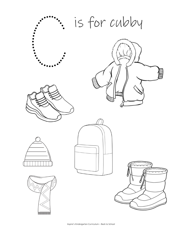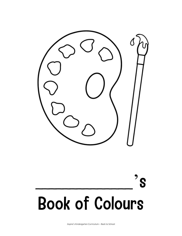![](_page_1_Picture_0.jpeg)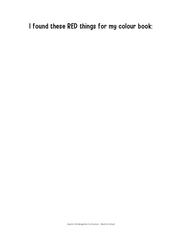# I found these RED things for my colour book: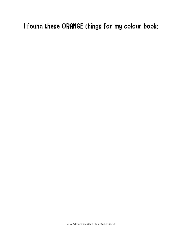# I found these ORANGE things for my colour book: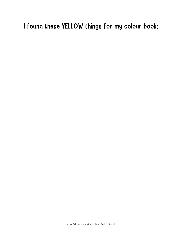# I found these YELLOW things for my colour book: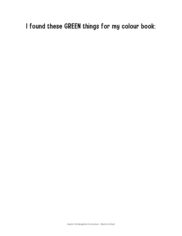# I found these GREEN things for my colour book: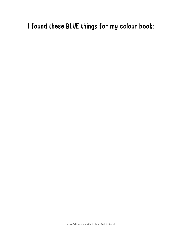## I found these BLUE things for my colour book: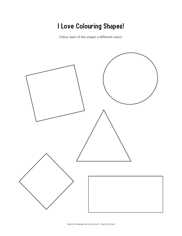# I Love Colouring Shapes!

Colour each of the shapes a different colour.

![](_page_7_Figure_2.jpeg)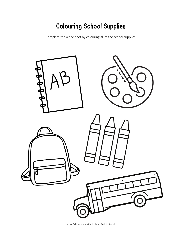#### Colouring School Supplies

Complete the worksheet by colouring all of the school supplies.

![](_page_8_Picture_2.jpeg)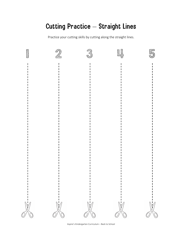#### Cutting Practice – Straight Lines

Practice your cutting skills by cutting along the straight lines.

![](_page_9_Picture_2.jpeg)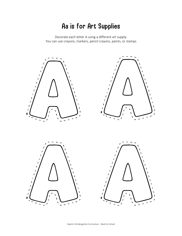#### Aa is for Art Supplies

Decorate each letter A using a different art supply. You can use crayons, markers, pencil crayons, paints, or stamps

![](_page_10_Picture_2.jpeg)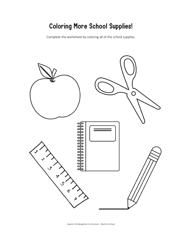# Coloring More School Supplies!

Complete the worksheet by coloring all of the school supplies.

![](_page_11_Picture_2.jpeg)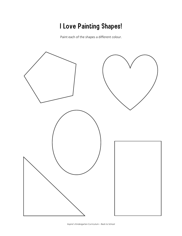# I Love Painting Shapes!

Paint each of the shapes a different colour.

![](_page_12_Figure_2.jpeg)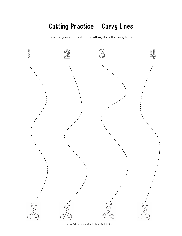#### Cutting Practice – Curvy Lines

Practice your cutting skills by cutting along the curvy lines.

![](_page_13_Figure_2.jpeg)

Aspire's Kindergarten Curriculum – Back to School